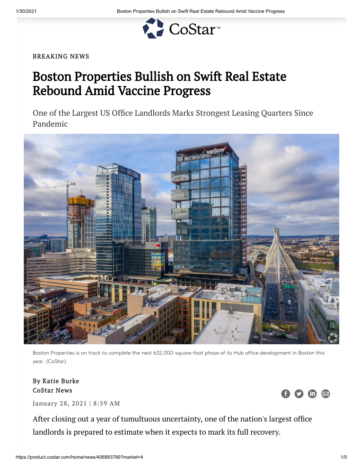

BREAKING NEWS

## Boston Properties Bullish on Swift Real Estate Rebound Amid Vaccine Progress

One of the Largest US Office Landlords Marks Strongest Leasing Quarters Since Pandemic



Boston Properties is on track to complete the next 632,000-square-foot phase of its Hub office development in Boston this year. (CoStar)

By Katie Burke CoStar News

January 28, 2021 | 8:59 AM

After closing out a year of tumultuous uncertainty, one of the nation's largest office landlords is prepared to estimate when it expects to mark its full recovery.

 $in \n\infty$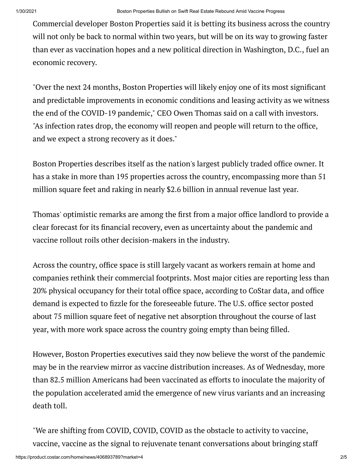Commercial developer Boston Properties said it is betting its business across the country will not only be back to normal within two years, but will be on its way to growing faster than ever as vaccination hopes and a new political direction in Washington, D.C., fuel an economic recovery.

"Over the next 24 months, Boston Properties will likely enjoy one of its most signicant and predictable improvements in economic conditions and leasing activity as we witness the end of the COVID-19 pandemic," CEO Owen Thomas said on a call with investors. "As infection rates drop, the economy will reopen and people will return to the office, and we expect a strong recovery as it does."

Boston Properties describes itself as the nation's largest publicly traded office owner. It has a stake in more than 195 properties across the country, encompassing more than 51 million square feet and raking in nearly \$2.6 billion in annual revenue last year.

Thomas' optimistic remarks are among the first from a major office landlord to provide a clear forecast for its financial recovery, even as uncertainty about the pandemic and vaccine rollout roils other decision-makers in the industry.

Across the country, office space is still largely vacant as workers remain at home and companies rethink their commercial footprints. Most major cities are reporting less than 20% physical occupancy for their total office space, according to CoStar data, and office demand is expected to fizzle for the foreseeable future. The U.S. office sector posted about 75 million square feet of negative net absorption throughout the course of last year, with more work space across the country going empty than being filled.

However, Boston Properties executives said they now believe the worst of the pandemic may be in the rearview mirror as vaccine distribution increases. As of Wednesday, more than 82.5 million Americans had been vaccinated as efforts to inoculate the majority of the population accelerated amid the emergence of new virus variants and an increasing death toll.

"We are shifting from COVID, COVID, COVID as the obstacle to activity to vaccine, vaccine, vaccine as the signal to rejuvenate tenant conversations about bringing staff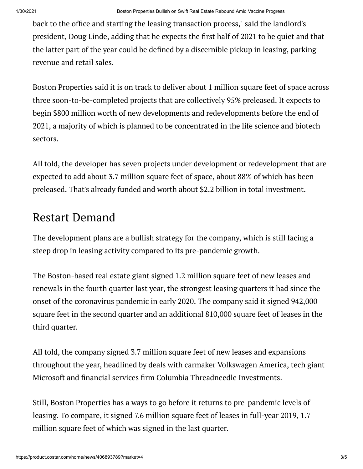back to the office and starting the leasing transaction process," said the landlord's president, Doug Linde, adding that he expects the first half of 2021 to be quiet and that the latter part of the year could be defined by a discernible pickup in leasing, parking revenue and retail sales.

Boston Properties said it is on track to deliver about 1 million square feet of space across three soon-to-be-completed projects that are collectively 95% preleased. It expects to begin \$800 million worth of new developments and redevelopments before the end of 2021, a majority of which is planned to be concentrated in the life science and biotech sectors.

All told, the developer has seven projects under development or redevelopment that are expected to add about 3.7 million square feet of space, about 88% of which has been preleased. That's already funded and worth about \$2.2 billion in total investment.

## Restart Demand

The development plans are a bullish strategy for the company, which is still facing a steep drop in leasing activity compared to its pre-pandemic growth.

The Boston-based real estate giant signed 1.2 million square feet of new leases and renewals in the fourth quarter last year, the strongest leasing quarters it had since the onset of the coronavirus pandemic in early 2020. The company said it signed 942,000 square feet in the second quarter and an additional 810,000 square feet of leases in the third quarter.

All told, the company signed 3.7 million square feet of new leases and expansions throughout the year, headlined by deals with carmaker Volkswagen America, tech giant Microsoft and financial services firm Columbia Threadneedle Investments.

Still, Boston Properties has a ways to go before it returns to pre-pandemic levels of leasing. To compare, it signed 7.6 million square feet of leases in full-year 2019, 1.7 million square feet of which was signed in the last quarter.